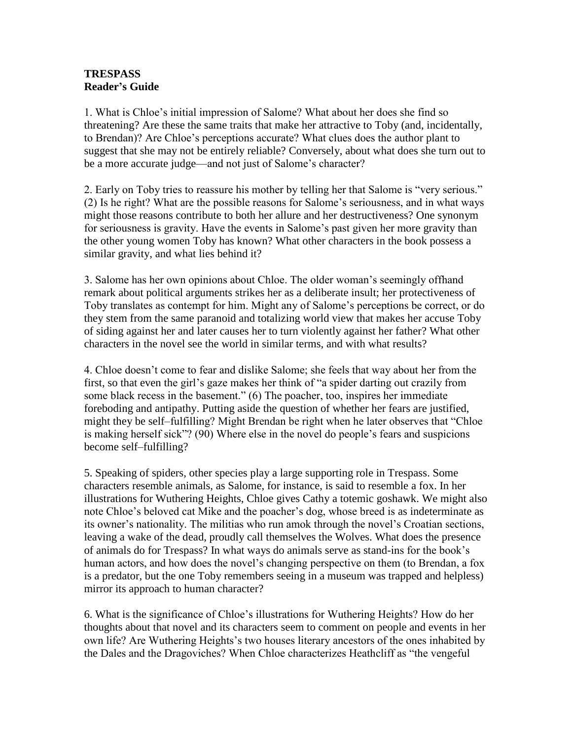## **TRESPASS Reader's Guide**

1. What is Chloe's initial impression of Salome? What about her does she find so threatening? Are these the same traits that make her attractive to Toby (and, incidentally, to Brendan)? Are Chloe's perceptions accurate? What clues does the author plant to suggest that she may not be entirely reliable? Conversely, about what does she turn out to be a more accurate judge—and not just of Salome's character?

2. Early on Toby tries to reassure his mother by telling her that Salome is "very serious." (2) Is he right? What are the possible reasons for Salome's seriousness, and in what ways might those reasons contribute to both her allure and her destructiveness? One synonym for seriousness is gravity. Have the events in Salome's past given her more gravity than the other young women Toby has known? What other characters in the book possess a similar gravity, and what lies behind it?

3. Salome has her own opinions about Chloe. The older woman's seemingly offhand remark about political arguments strikes her as a deliberate insult; her protectiveness of Toby translates as contempt for him. Might any of Salome's perceptions be correct, or do they stem from the same paranoid and totalizing world view that makes her accuse Toby of siding against her and later causes her to turn violently against her father? What other characters in the novel see the world in similar terms, and with what results?

4. Chloe doesn't come to fear and dislike Salome; she feels that way about her from the first, so that even the girl's gaze makes her think of "a spider darting out crazily from some black recess in the basement." (6) The poacher, too, inspires her immediate foreboding and antipathy. Putting aside the question of whether her fears are justified, might they be self–fulfilling? Might Brendan be right when he later observes that "Chloe" is making herself sick"? (90) Where else in the novel do people's fears and suspicions become self–fulfilling?

5. Speaking of spiders, other species play a large supporting role in Trespass. Some characters resemble animals, as Salome, for instance, is said to resemble a fox. In her illustrations for Wuthering Heights, Chloe gives Cathy a totemic goshawk. We might also note Chloe's beloved cat Mike and the poacher's dog, whose breed is as indeterminate as its owner's nationality. The militias who run amok through the novel's Croatian sections, leaving a wake of the dead, proudly call themselves the Wolves. What does the presence of animals do for Trespass? In what ways do animals serve as stand-ins for the book's human actors, and how does the novel's changing perspective on them (to Brendan, a fox is a predator, but the one Toby remembers seeing in a museum was trapped and helpless) mirror its approach to human character?

6. What is the significance of Chloe's illustrations for Wuthering Heights? How do her thoughts about that novel and its characters seem to comment on people and events in her own life? Are Wuthering Heights's two houses literary ancestors of the ones inhabited by the Dales and the Dragoviches? When Chloe characterizes Heathcliff as "the vengeful"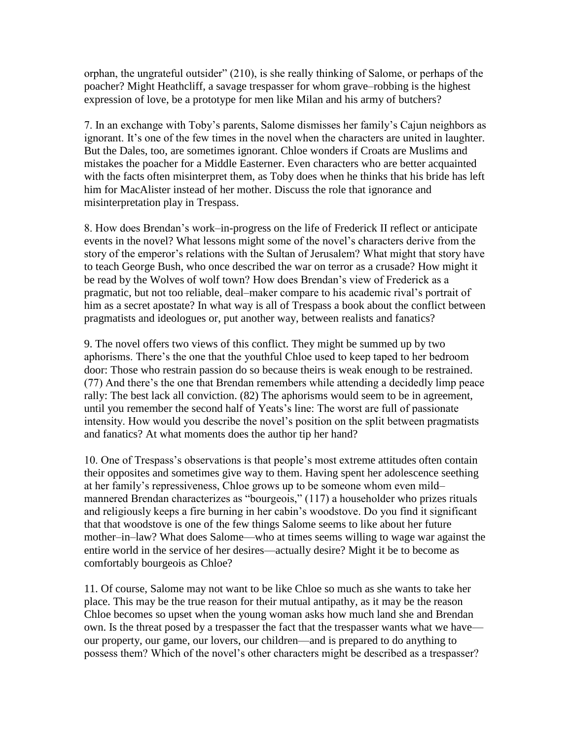orphan, the ungrateful outsider" (210), is she really thinking of Salome, or perhaps of the poacher? Might Heathcliff, a savage trespasser for whom grave–robbing is the highest expression of love, be a prototype for men like Milan and his army of butchers?

7. In an exchange with Toby's parents, Salome dismisses her family's Cajun neighbors as ignorant. It's one of the few times in the novel when the characters are united in laughter. But the Dales, too, are sometimes ignorant. Chloe wonders if Croats are Muslims and mistakes the poacher for a Middle Easterner. Even characters who are better acquainted with the facts often misinterpret them, as Toby does when he thinks that his bride has left him for MacAlister instead of her mother. Discuss the role that ignorance and misinterpretation play in Trespass.

8. How does Brendan's work–in-progress on the life of Frederick II reflect or anticipate events in the novel? What lessons might some of the novel's characters derive from the story of the emperor's relations with the Sultan of Jerusalem? What might that story have to teach George Bush, who once described the war on terror as a crusade? How might it be read by the Wolves of wolf town? How does Brendan's view of Frederick as a pragmatic, but not too reliable, deal–maker compare to his academic rival's portrait of him as a secret apostate? In what way is all of Trespass a book about the conflict between pragmatists and ideologues or, put another way, between realists and fanatics?

9. The novel offers two views of this conflict. They might be summed up by two aphorisms. There's the one that the youthful Chloe used to keep taped to her bedroom door: Those who restrain passion do so because theirs is weak enough to be restrained. (77) And there's the one that Brendan remembers while attending a decidedly limp peace rally: The best lack all conviction. (82) The aphorisms would seem to be in agreement, until you remember the second half of Yeats's line: The worst are full of passionate intensity. How would you describe the novel's position on the split between pragmatists and fanatics? At what moments does the author tip her hand?

10. One of Trespass's observations is that people's most extreme attitudes often contain their opposites and sometimes give way to them. Having spent her adolescence seething at her family's repressiveness, Chloe grows up to be someone whom even mild– mannered Brendan characterizes as "bourgeois," (117) a householder who prizes rituals and religiously keeps a fire burning in her cabin's woodstove. Do you find it significant that that woodstove is one of the few things Salome seems to like about her future mother–in–law? What does Salome—who at times seems willing to wage war against the entire world in the service of her desires—actually desire? Might it be to become as comfortably bourgeois as Chloe?

11. Of course, Salome may not want to be like Chloe so much as she wants to take her place. This may be the true reason for their mutual antipathy, as it may be the reason Chloe becomes so upset when the young woman asks how much land she and Brendan own. Is the threat posed by a trespasser the fact that the trespasser wants what we have our property, our game, our lovers, our children—and is prepared to do anything to possess them? Which of the novel's other characters might be described as a trespasser?